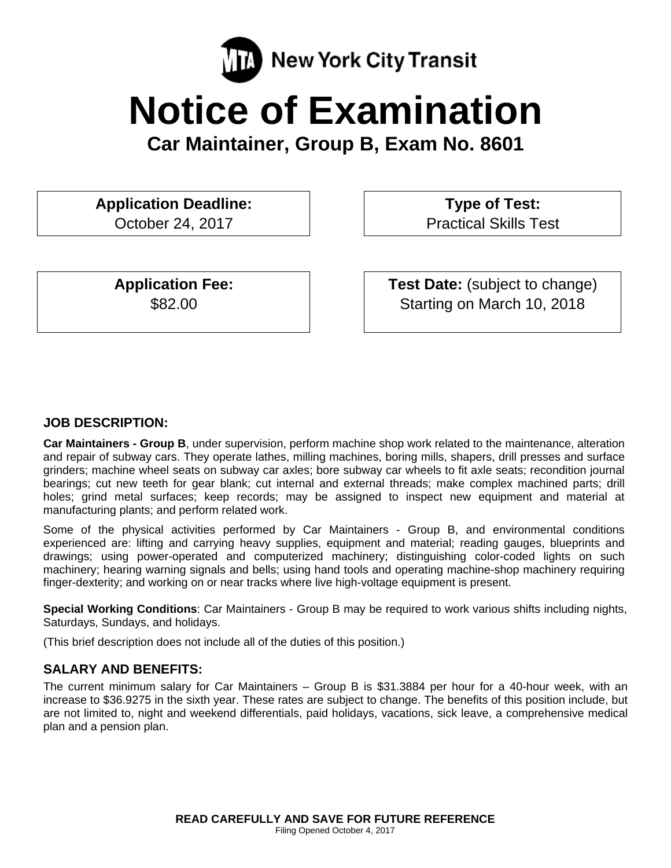

# **Notice of Examination**

**Car Maintainer, Group B, Exam No. 8601** 

**Application Deadline:**

October 24, 2017

 **Type of Test:**  Practical Skills Test

**Application Fee:**  \$82.00

 **Test Date:** (subject to change) Starting on March 10, 2018

# **JOB DESCRIPTION:**

**Car Maintainers - Group B**, under supervision, perform machine shop work related to the maintenance, alteration and repair of subway cars. They operate lathes, milling machines, boring mills, shapers, drill presses and surface grinders; machine wheel seats on subway car axles; bore subway car wheels to fit axle seats; recondition journal bearings; cut new teeth for gear blank; cut internal and external threads; make complex machined parts; drill holes; grind metal surfaces; keep records; may be assigned to inspect new equipment and material at manufacturing plants; and perform related work.

Some of the physical activities performed by Car Maintainers - Group B, and environmental conditions experienced are: lifting and carrying heavy supplies, equipment and material; reading gauges, blueprints and drawings; using power-operated and computerized machinery; distinguishing color-coded lights on such machinery; hearing warning signals and bells; using hand tools and operating machine-shop machinery requiring finger-dexterity; and working on or near tracks where live high-voltage equipment is present.

**Special Working Conditions**: Car Maintainers - Group B may be required to work various shifts including nights, Saturdays, Sundays, and holidays.

(This brief description does not include all of the duties of this position.)

## **SALARY AND BENEFITS:**

The current minimum salary for Car Maintainers – Group B is \$31.3884 per hour for a 40-hour week, with an increase to \$36.9275 in the sixth year. These rates are subject to change. The benefits of this position include, but are not limited to, night and weekend differentials, paid holidays, vacations, sick leave, a comprehensive medical plan and a pension plan.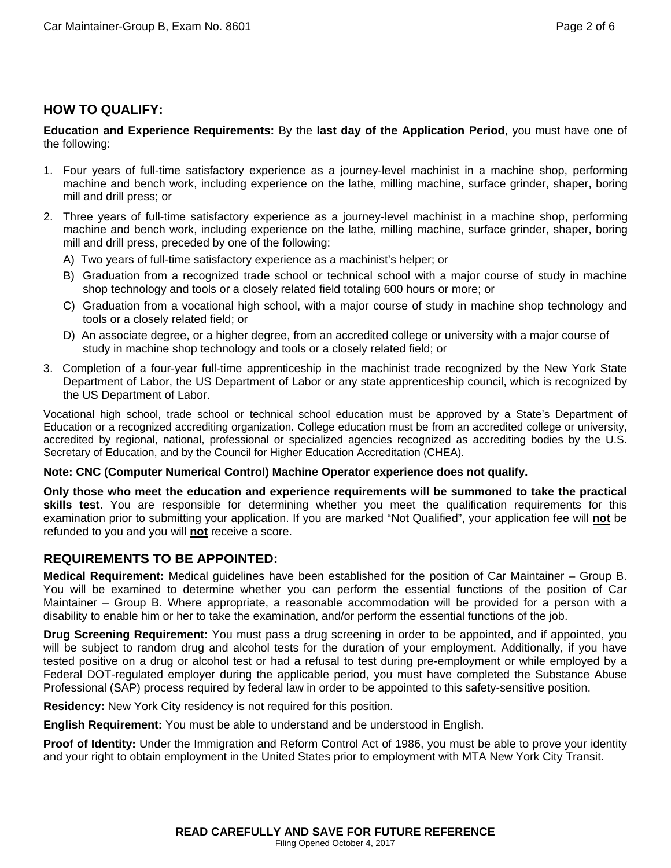# **HOW TO QUALIFY:**

**Education and Experience Requirements:** By the **last day of the Application Period**, you must have one of the following:

- 1. Four years of full-time satisfactory experience as a journey-level machinist in a machine shop, performing machine and bench work, including experience on the lathe, milling machine, surface grinder, shaper, boring mill and drill press; or
- 2. Three years of full-time satisfactory experience as a journey-level machinist in a machine shop, performing machine and bench work, including experience on the lathe, milling machine, surface grinder, shaper, boring mill and drill press, preceded by one of the following:
	- A) Two years of full-time satisfactory experience as a machinist's helper; or
	- B) Graduation from a recognized trade school or technical school with a major course of study in machine shop technology and tools or a closely related field totaling 600 hours or more; or
	- C) Graduation from a vocational high school, with a major course of study in machine shop technology and tools or a closely related field; or
	- D) An associate degree, or a higher degree, from an accredited college or university with a major course of study in machine shop technology and tools or a closely related field; or
- 3. Completion of a four-year full-time apprenticeship in the machinist trade recognized by the New York State Department of Labor, the US Department of Labor or any state apprenticeship council, which is recognized by the US Department of Labor.

Vocational high school, trade school or technical school education must be approved by a State's Department of Education or a recognized accrediting organization. College education must be from an accredited college or university, accredited by regional, national, professional or specialized agencies recognized as accrediting bodies by the U.S. Secretary of Education, and by the Council for Higher Education Accreditation (CHEA).

#### **Note: CNC (Computer Numerical Control) Machine Operator experience does not qualify.**

**Only those who meet the education and experience requirements will be summoned to take the practical skills test**. You are responsible for determining whether you meet the qualification requirements for this examination prior to submitting your application. If you are marked "Not Qualified", your application fee will **not** be refunded to you and you will **not** receive a score.

## **REQUIREMENTS TO BE APPOINTED:**

**Medical Requirement:** Medical guidelines have been established for the position of Car Maintainer – Group B. You will be examined to determine whether you can perform the essential functions of the position of Car Maintainer – Group B. Where appropriate, a reasonable accommodation will be provided for a person with a disability to enable him or her to take the examination, and/or perform the essential functions of the job.

**Drug Screening Requirement:** You must pass a drug screening in order to be appointed, and if appointed, you will be subject to random drug and alcohol tests for the duration of your employment. Additionally, if you have tested positive on a drug or alcohol test or had a refusal to test during pre-employment or while employed by a Federal DOT-regulated employer during the applicable period, you must have completed the Substance Abuse Professional (SAP) process required by federal law in order to be appointed to this safety-sensitive position.

**Residency:** New York City residency is not required for this position.

**English Requirement:** You must be able to understand and be understood in English.

**Proof of Identity:** Under the Immigration and Reform Control Act of 1986, you must be able to prove your identity and your right to obtain employment in the United States prior to employment with MTA New York City Transit.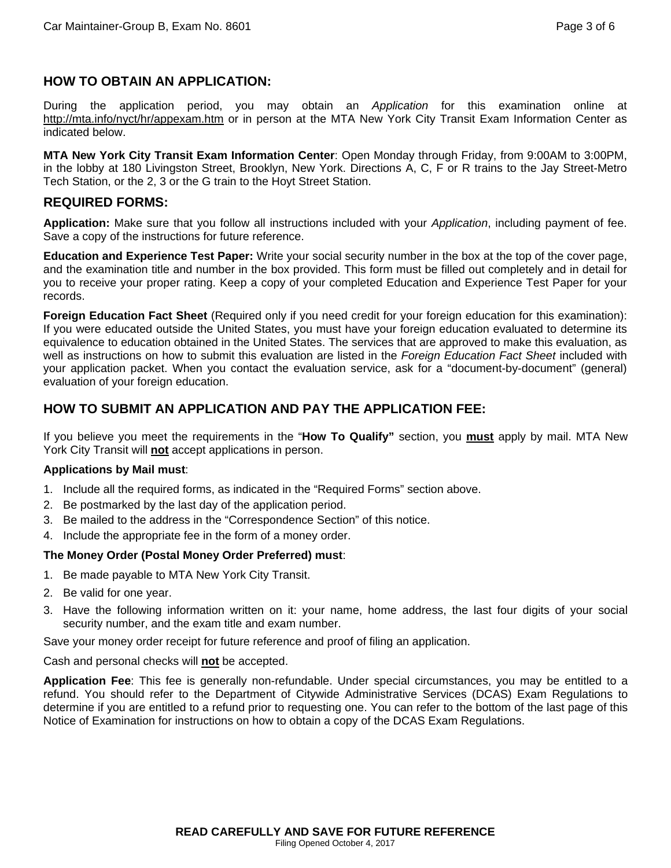## **HOW TO OBTAIN AN APPLICATION:**

During the application period, you may obtain an *Application* for this examination online at http://mta.info/nyct/hr/appexam.htm or in person at the MTA New York City Transit Exam Information Center as indicated below.

**MTA New York City Transit Exam Information Center**: Open Monday through Friday, from 9:00AM to 3:00PM, in the lobby at 180 Livingston Street, Brooklyn, New York. Directions A, C, F or R trains to the Jay Street-Metro Tech Station, or the 2, 3 or the G train to the Hoyt Street Station.

#### **REQUIRED FORMS:**

**Application:** Make sure that you follow all instructions included with your *Application*, including payment of fee. Save a copy of the instructions for future reference.

**Education and Experience Test Paper:** Write your social security number in the box at the top of the cover page, and the examination title and number in the box provided. This form must be filled out completely and in detail for you to receive your proper rating. Keep a copy of your completed Education and Experience Test Paper for your records.

**Foreign Education Fact Sheet** (Required only if you need credit for your foreign education for this examination): If you were educated outside the United States, you must have your foreign education evaluated to determine its equivalence to education obtained in the United States. The services that are approved to make this evaluation, as well as instructions on how to submit this evaluation are listed in the *Foreign Education Fact Sheet* included with your application packet. When you contact the evaluation service, ask for a "document-by-document" (general) evaluation of your foreign education.

# **HOW TO SUBMIT AN APPLICATION AND PAY THE APPLICATION FEE:**

If you believe you meet the requirements in the "**How To Qualify"** section, you **must** apply by mail. MTA New York City Transit will **not** accept applications in person.

#### **Applications by Mail must**:

- 1. Include all the required forms, as indicated in the "Required Forms" section above.
- 2. Be postmarked by the last day of the application period.
- 3. Be mailed to the address in the "Correspondence Section" of this notice.
- 4. Include the appropriate fee in the form of a money order.

#### **The Money Order (Postal Money Order Preferred) must**:

- 1. Be made payable to MTA New York City Transit.
- 2. Be valid for one year.
- 3. Have the following information written on it: your name, home address, the last four digits of your social security number, and the exam title and exam number.

Save your money order receipt for future reference and proof of filing an application.

Cash and personal checks will **not** be accepted.

**Application Fee**: This fee is generally non-refundable. Under special circumstances, you may be entitled to a refund. You should refer to the Department of Citywide Administrative Services (DCAS) Exam Regulations to determine if you are entitled to a refund prior to requesting one. You can refer to the bottom of the last page of this Notice of Examination for instructions on how to obtain a copy of the DCAS Exam Regulations.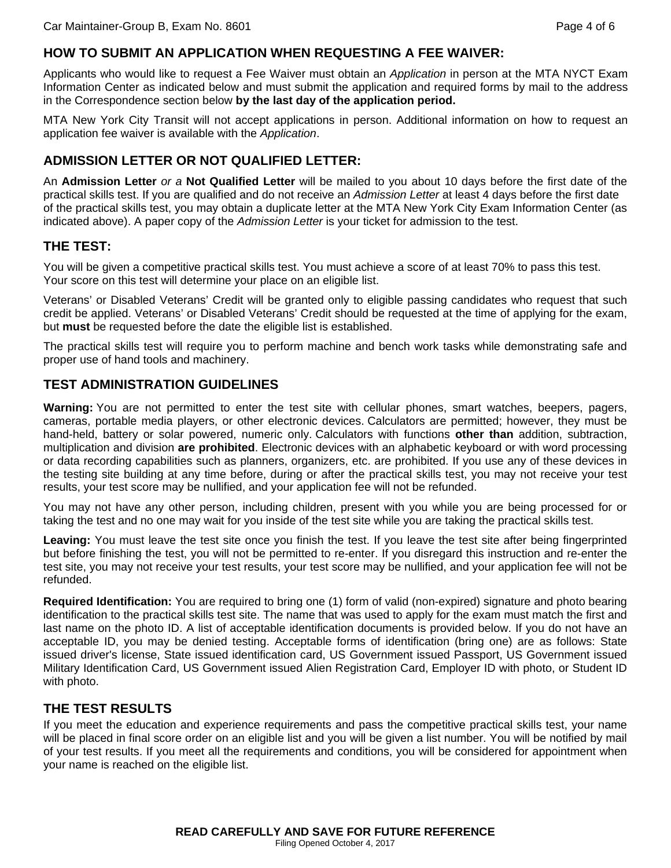# **HOW TO SUBMIT AN APPLICATION WHEN REQUESTING A FEE WAIVER:**

Applicants who would like to request a Fee Waiver must obtain an *Application* in person at the MTA NYCT Exam Information Center as indicated below and must submit the application and required forms by mail to the address in the Correspondence section below **by the last day of the application period.** 

MTA New York City Transit will not accept applications in person. Additional information on how to request an application fee waiver is available with the *Application*.

# **ADMISSION LETTER OR NOT QUALIFIED LETTER:**

An **Admission Letter** *or a* **Not Qualified Letter** will be mailed to you about 10 days before the first date of the practical skills test. If you are qualified and do not receive an *Admission Letter* at least 4 days before the first date of the practical skills test, you may obtain a duplicate letter at the MTA New York City Exam Information Center (as indicated above). A paper copy of the *Admission Letter* is your ticket for admission to the test.

## **THE TEST:**

You will be given a competitive practical skills test. You must achieve a score of at least 70% to pass this test. Your score on this test will determine your place on an eligible list.

Veterans' or Disabled Veterans' Credit will be granted only to eligible passing candidates who request that such credit be applied. Veterans' or Disabled Veterans' Credit should be requested at the time of applying for the exam, but **must** be requested before the date the eligible list is established.

The practical skills test will require you to perform machine and bench work tasks while demonstrating safe and proper use of hand tools and machinery.

#### **TEST ADMINISTRATION GUIDELINES**

**Warning:** You are not permitted to enter the test site with cellular phones, smart watches, beepers, pagers, cameras, portable media players, or other electronic devices. Calculators are permitted; however, they must be hand-held, battery or solar powered, numeric only. Calculators with functions **other than** addition, subtraction, multiplication and division **are prohibited**. Electronic devices with an alphabetic keyboard or with word processing or data recording capabilities such as planners, organizers, etc. are prohibited. If you use any of these devices in the testing site building at any time before, during or after the practical skills test, you may not receive your test results, your test score may be nullified, and your application fee will not be refunded.

You may not have any other person, including children, present with you while you are being processed for or taking the test and no one may wait for you inside of the test site while you are taking the practical skills test.

**Leaving:** You must leave the test site once you finish the test. If you leave the test site after being fingerprinted but before finishing the test, you will not be permitted to re-enter. If you disregard this instruction and re-enter the test site, you may not receive your test results, your test score may be nullified, and your application fee will not be refunded.

**Required Identification:** You are required to bring one (1) form of valid (non-expired) signature and photo bearing identification to the practical skills test site. The name that was used to apply for the exam must match the first and last name on the photo ID. A list of acceptable identification documents is provided below. If you do not have an acceptable ID, you may be denied testing. Acceptable forms of identification (bring one) are as follows: State issued driver's license, State issued identification card, US Government issued Passport, US Government issued Military Identification Card, US Government issued Alien Registration Card, Employer ID with photo, or Student ID with photo.

## **THE TEST RESULTS**

If you meet the education and experience requirements and pass the competitive practical skills test, your name will be placed in final score order on an eligible list and you will be given a list number. You will be notified by mail of your test results. If you meet all the requirements and conditions, you will be considered for appointment when your name is reached on the eligible list.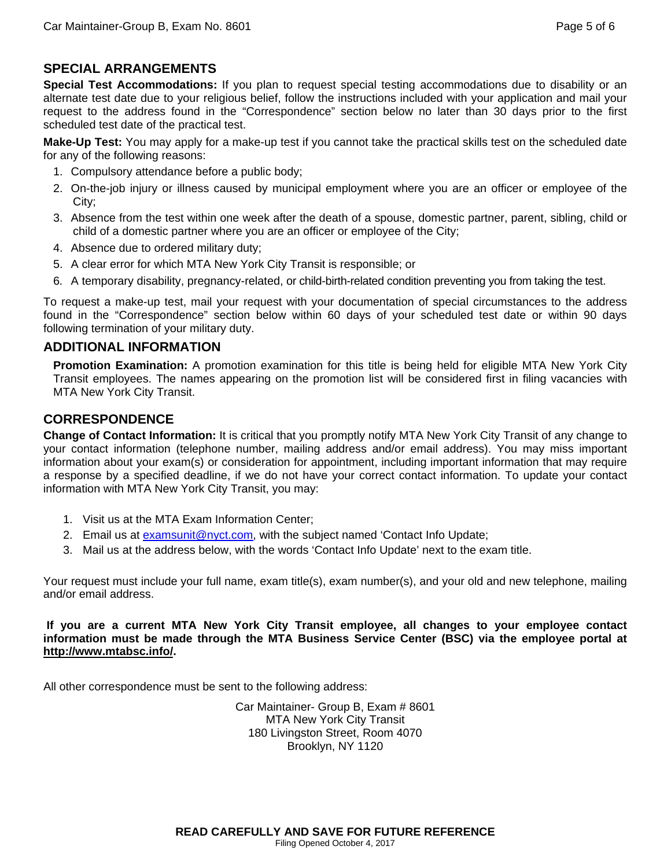# **SPECIAL ARRANGEMENTS**

**Special Test Accommodations:** If you plan to request special testing accommodations due to disability or an alternate test date due to your religious belief, follow the instructions included with your application and mail your request to the address found in the "Correspondence" section below no later than 30 days prior to the first scheduled test date of the practical test.

**Make-Up Test:** You may apply for a make-up test if you cannot take the practical skills test on the scheduled date for any of the following reasons:

- 1. Compulsory attendance before a public body;
- 2. On-the-job injury or illness caused by municipal employment where you are an officer or employee of the City;
- 3. Absence from the test within one week after the death of a spouse, domestic partner, parent, sibling, child or child of a domestic partner where you are an officer or employee of the City;
- 4. Absence due to ordered military duty;
- 5. A clear error for which MTA New York City Transit is responsible; or
- 6. A temporary disability, pregnancy-related, or child-birth-related condition preventing you from taking the test.

To request a make-up test, mail your request with your documentation of special circumstances to the address found in the "Correspondence" section below within 60 days of your scheduled test date or within 90 days following termination of your military duty.

#### **ADDITIONAL INFORMATION**

**Promotion Examination:** A promotion examination for this title is being held for eligible MTA New York City Transit employees. The names appearing on the promotion list will be considered first in filing vacancies with MTA New York City Transit.

# **CORRESPONDENCE**

**Change of Contact Information:** It is critical that you promptly notify MTA New York City Transit of any change to your contact information (telephone number, mailing address and/or email address). You may miss important information about your exam(s) or consideration for appointment, including important information that may require a response by a specified deadline, if we do not have your correct contact information. To update your contact information with MTA New York City Transit, you may:

- 1. Visit us at the MTA Exam Information Center;
- 2. Email us at examsunit@nyct.com, with the subject named 'Contact Info Update;
- 3. Mail us at the address below, with the words 'Contact Info Update' next to the exam title.

Your request must include your full name, exam title(s), exam number(s), and your old and new telephone, mailing and/or email address.

**If you are a current MTA New York City Transit employee, all changes to your employee contact information must be made through the MTA Business Service Center (BSC) via the employee portal at http://www.mtabsc.info/.**

All other correspondence must be sent to the following address:

Car Maintainer- Group B, Exam # 8601 MTA New York City Transit 180 Livingston Street, Room 4070 Brooklyn, NY 1120